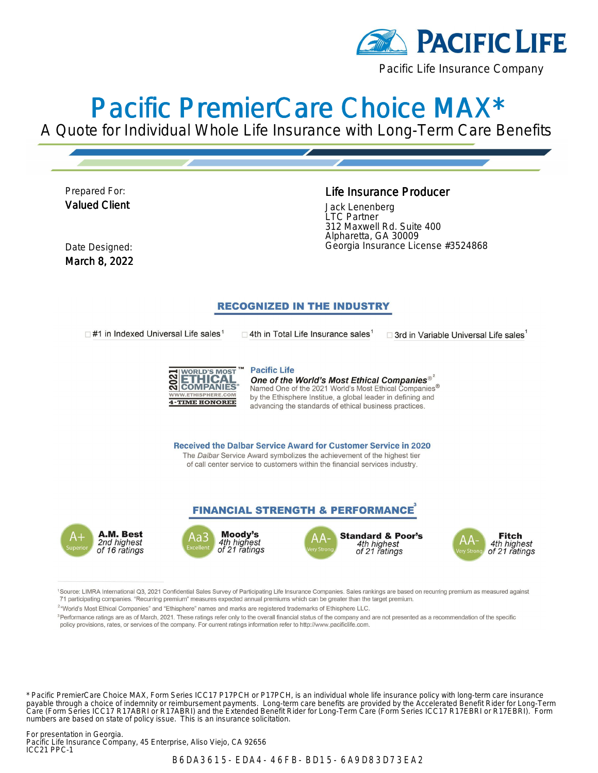

# Pacific PremierCare Choice MAX\*

A Quote for Individual Whole Life Insurance with Long-Term Care Benefits

Prepared For: Valued Client

#### Life Insurance Producer

Jack Lenenberg LTC Partner 312 Maxwell Rd. Suite 400 Alpharetta, GA 30009 Date Designed: Georgia Insurance License #3524868

March 8, 2022

#### **RECOGNIZED IN THE INDUSTRY**

 $\Box$ #1 in Indexed Universal Life sales<sup>1</sup>

 $\Box$  4th in Total Life Insurance sales<sup>1</sup>

 $\square$  3rd in Variable Universal Life sales



**Pacific Life** One of the World's Most Ethical Companies® Named One of the 2021 World's Most Ethical Companies $^\circledR$ by the Ethisphere Institue, a global leader in defining and advancing the standards of ethical business practices.

**Received the Dalbar Service Award for Customer Service in 2020** The Dalbar Service Award symbolizes the achievement of the highest tier of call center service to customers within the financial services industry.

#### **FINANCIAL STRENGTH & PERFORMANCE**









1Source: LIMRA International Q3, 2021 Confidential Sales Survey of Participating Life Insurance Companies. Sales rankings are based on recurring premium as measured against 71 participating companies. "Recurring premium" measures expected annual premiums which can be greater than the target premium.

<sup>2</sup>"World's Most Ethical Companies" and "Ethisphere" names and marks are registered trademarks of Ethisphere LLC.

<sup>3</sup>Performance ratings are as of March, 2021. These ratings refer only to the overall financial status of the company and are not presented as a recommendation of the specific policy provisions, rates, or services of the company. For current ratings information refer to http://www.pacificlife.com.

\* Pacific PremierCare Choice MAX, Form Series ICC17 P17PCH or P17PCH, is an individual whole life insurance policy with long-term care insurance payable through a choice of indemnity or reimbursement payments. Long-term care benefits are provided by the Accelerated Benefit Rider for Long-Term Care (Form Series ICC17 R17ABRI or R17ABRI) and the Extended Benefit Rider for Long-Term Care (Form Series ICC17 R17EBRI or R17EBRI). Form numbers are based on state of policy issue. This is an insurance solicitation.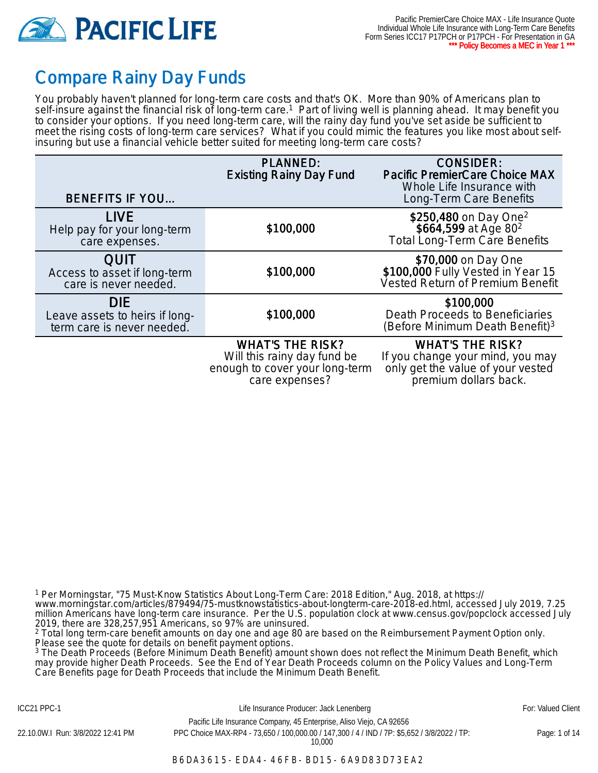

## Compare Rainy Day Funds

You probably haven't planned for long-term care costs and that's OK. More than 90% of Americans plan to self-insure against the financial risk of long-term care.<sup>1</sup> Part of living well is planning ahead. It may benefit you to consider your options. If you need long-term care, will the rainy day fund you've set aside be sufficient to meet the rising costs of long-term care services? What if you could mimic the features you like most about selfinsuring but use a financial vehicle better suited for meeting long-term care costs?

| <b>BENEFITS IF YOU</b>                                                     | <b>PLANNED:</b><br><b>Existing Rainy Day Fund</b>                                        | <b>CONSIDER:</b><br><b>Pacific PremierCare Choice MAX</b><br>Whole Life Insurance with<br>Long-Term Care Benefits |
|----------------------------------------------------------------------------|------------------------------------------------------------------------------------------|-------------------------------------------------------------------------------------------------------------------|
| <b>LIVE</b><br>Help pay for your long-term<br>care expenses.               | \$100,000                                                                                | \$250,480 on Day One <sup>2</sup><br>\$664,599 at Age 80 <sup>2</sup><br><b>Total Long-Term Care Benefits</b>     |
| <b>QUIT</b><br>Access to asset if long-term<br>care is never needed.       | \$100,000                                                                                | \$70,000 on Day One<br>\$100,000 Fully Vested in Year 15<br>Vested Return of Premium Benefit                      |
| <b>DIE</b><br>Leave assets to heirs if long-<br>term care is never needed. | \$100,000                                                                                | \$100,000<br>Death Proceeds to Beneficiaries<br>(Before Minimum Death Benefit) <sup>3</sup>                       |
|                                                                            | <b>WHAT'S THE RISK?</b><br>Will this rainy day fund be<br>enough to cover your long-term | <b>WHAT'S THE RISK?</b><br>If you change your mind, you may<br>only get the value of your vested                  |

care expenses?

premium dollars back.

1 Per Morningstar, "75 Must-Know Statistics About Long-Term Care: 2018 Edition," Aug. 2018, at https://

www.morningstar.com/articles/879494/75-mustknowstatistics-about-longterm-care-2018-ed.html, accessed July 2019, 7.25 million Americans have long-term care insurance. Per the U.S. population clock at www.census.gov/popclock accessed July 2019, there are 328,257,951 Americans, so 97% are uninsured.

2 Total long term-care benefit amounts on day one and age 80 are based on the Reimbursement Payment Option only. Please see the quote for details on benefit payment options.

3 The Death Proceeds (Before Minimum Death Benefit) amount shown does not reflect the Minimum Death Benefit, which may provide higher Death Proceeds. See the End of Year Death Proceeds column on the Policy Values and Long-Term Care Benefits page for Death Proceeds that include the Minimum Death Benefit.

ICC21 PPC-1 **Example 20 For: Valued Client** Life Insurance Producer: Jack Lenenberg **Formula** For: Valued Client Pacific Life Insurance Company, 45 Enterprise, Aliso Viejo, CA 92656

22.10.0W.I Run: 3/8/2022 12:41 PM PPC Choice MAX-RP4 - 73,650 / 100,000.00 / 147,300 / 4 / IND / 7P: \$5,652 / 3/8/2022 / TP: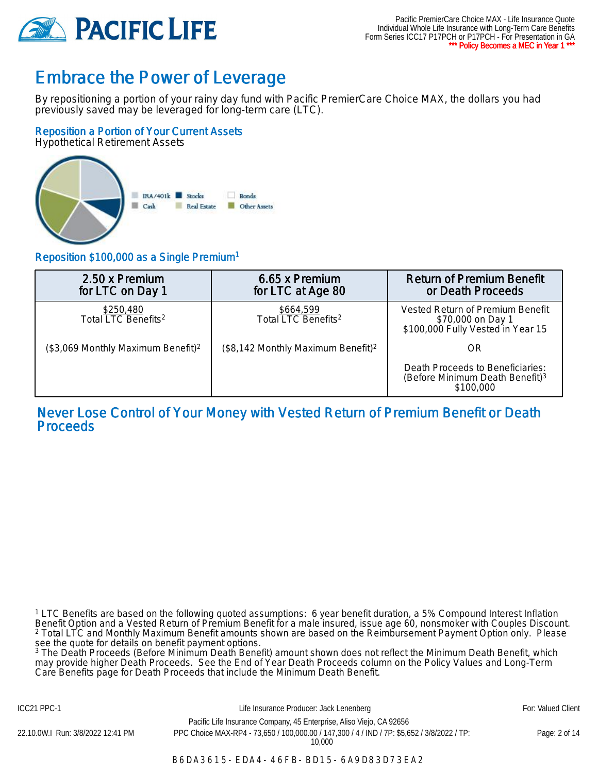

### Embrace the Power of Leverage

By repositioning a portion of your rainy day fund with Pacific PremierCare Choice MAX, the dollars you had previously saved may be leveraged for long-term care (LTC).

#### Reposition a Portion of Your Current Assets

Hypothetical Retirement Assets



#### Reposition \$100,000 as a Single Premium<sup>1</sup>

| 2.50 x Premium<br>for LTC on Day 1              | 6.65 x Premium<br>for LTC at Age 80            | <b>Return of Premium Benefit</b><br>or Death Proceeds                                        |
|-------------------------------------------------|------------------------------------------------|----------------------------------------------------------------------------------------------|
| \$250,480<br>Total LTC Benefits <sup>2</sup>    | \$664,599<br>Total LTC Benefits <sup>2</sup>   | Vested Return of Premium Benefit<br>\$70,000 on Day 1<br>\$100,000 Fully Vested in Year 15   |
| $($3,069$ Monthly Maximum Benefit) <sup>2</sup> | (\$8,142 Monthly Maximum Benefit) <sup>2</sup> | OR                                                                                           |
|                                                 |                                                | Death Proceeds to Beneficiaries:<br>(Before Minimum Death Benefit) <sup>3</sup><br>\$100,000 |

Never Lose Control of Your Money with Vested Return of Premium Benefit or Death **Proceeds** 

1 LTC Benefits are based on the following quoted assumptions: 6 year benefit duration, a 5% Compound Interest Inflation Benefit Option and a Vested Return of Premium Benefit for a male insured, issue age 60, nonsmoker with Couples Discount. 2 Total LTC and Monthly Maximum Benefit amounts shown are based on the Reimbursement Payment Option only. Please see the quote for details on benefit payment options.

3 The Death Proceeds (Before Minimum Death Benefit) amount shown does not reflect the Minimum Death Benefit, which may provide higher Death Proceeds. See the End of Year Death Proceeds column on the Policy Values and Long-Term Care Benefits page for Death Proceeds that include the Minimum Death Benefit.

ICC21 PPC-1 **Example 20 For: Valued Client** Life Insurance Producer: Jack Lenenberg **For: Valued Client** For: Valued Client Pacific Life Insurance Company, 45 Enterprise, Aliso Viejo, CA 92656

10,000

22.10.0W.I Run: 3/8/2022 12:41 PM PPC Choice MAX-RP4 - 73,650 / 100,000.00 / 147,300 / 4 / IND / 7P: \$5,652 / 3/8/2022 / TP: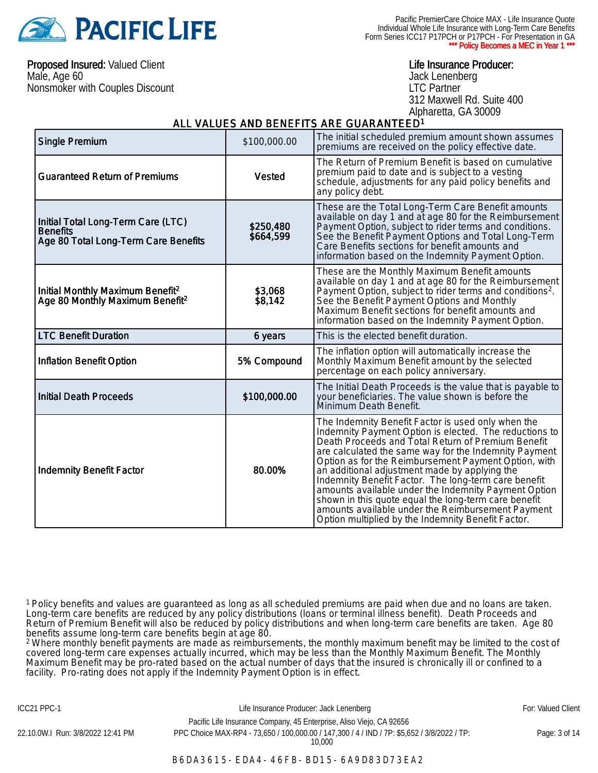

Pacific PremierCare Choice MAX - Life Insurance Quote Individual Whole Life Insurance with Long-Term Care Benefits Form Series ICC17 P17PCH or P17PCH - For Presentation in GA \* Policy Becomes a MEC in Year 1 \*

Proposed Insured: Valued Client Male, Age 60 Nonsmoker with Couples Discount

#### Life Insurance Producer:

Jack Lenenberg LTC Partner 312 Maxwell Rd. Suite 400 Alpharetta, GA 30009

#### ALL VALUES AND BENEFITS ARE GUARANTEED<sup>1</sup>

| <b>Single Premium</b>                                                                         | \$100,000.00           | The initial scheduled premium amount shown assumes<br>premiums are received on the policy effective date.                                                                                                                                                                                                                                                                                                                                                                                                                                                                                                               |
|-----------------------------------------------------------------------------------------------|------------------------|-------------------------------------------------------------------------------------------------------------------------------------------------------------------------------------------------------------------------------------------------------------------------------------------------------------------------------------------------------------------------------------------------------------------------------------------------------------------------------------------------------------------------------------------------------------------------------------------------------------------------|
| <b>Guaranteed Return of Premiums</b>                                                          | Vested                 | The Return of Premium Benefit is based on cumulative<br>premium paid to date and is subject to a vesting<br>schedule, adjustments for any paid policy benefits and<br>any policy debt.                                                                                                                                                                                                                                                                                                                                                                                                                                  |
| Initial Total Long-Term Care (LTC)<br><b>Benefits</b><br>Age 80 Total Long-Term Care Benefits | \$250,480<br>\$664,599 | These are the Total Long-Term Care Benefit amounts<br>available on day 1 and at age 80 for the Reimbursement<br>Payment Option, subject to rider terms and conditions.<br>See the Benefit Payment Options and Total Long-Term<br>Care Benefits sections for benefit amounts and<br>information based on the Indemnity Payment Option.                                                                                                                                                                                                                                                                                   |
| Initial Monthly Maximum Benefit <sup>2</sup><br>Age 80 Monthly Maximum Benefit <sup>2</sup>   | \$3,068<br>\$8,142     | These are the Monthly Maximum Benefit amounts<br>available on day 1 and at age 80 for the Reimbursement<br>Payment Option, subject to rider terms and conditions <sup>2</sup> .<br>See the Benefit Payment Options and Monthly<br>Maximum Benefit sections for benefit amounts and<br>information based on the Indemnity Payment Option.                                                                                                                                                                                                                                                                                |
| <b>LTC Benefit Duration</b>                                                                   | 6 years                | This is the elected benefit duration.                                                                                                                                                                                                                                                                                                                                                                                                                                                                                                                                                                                   |
| <b>Inflation Benefit Option</b>                                                               | 5% Compound            | The inflation option will automatically increase the<br>Monthly Maximum Benefit amount by the selected<br>percentage on each policy anniversary.                                                                                                                                                                                                                                                                                                                                                                                                                                                                        |
| <b>Initial Death Proceeds</b>                                                                 | \$100,000.00           | The Initial Death Proceeds is the value that is payable to<br>your beneficiaries. The value shown is before the<br>Minimum Death Benefit.                                                                                                                                                                                                                                                                                                                                                                                                                                                                               |
| <b>Indemnity Benefit Factor</b>                                                               | 80.00%                 | The Indemnity Benefit Factor is used only when the<br>Indemnity Payment Option is elected. The reductions to<br>Death Proceeds and Total Return of Premium Benefit<br>are calculated the same way for the Indemnity Payment<br>Option as for the Reimbursement Payment Option, with<br>an additional adjustment made by applying the<br>Indemnity Benefit Factor. The long-term care benefit<br>amounts available under the Indemnity Payment Option<br>shown in this quote equal the long-term care benefit<br>amounts available under the Reimbursement Payment<br>Option multiplied by the Indemnity Benefit Factor. |

<sup>1</sup>Policy benefits and values are guaranteed as long as all scheduled premiums are paid when due and no loans are taken. Long-term care benefits are reduced by any policy distributions (loans or terminal illness benefit). Death Proceeds and Return of Premium Benefit will also be reduced by policy distributions and when long-term care benefits are taken. Age 80 benefits assume long-term care benefits begin at age 80.

<sup>2</sup> Where monthly benefit payments are made as reimbursements, the monthly maximum benefit may be limited to the cost of covered long-term care expenses actually incurred, which may be less than the Monthly Maximum Benefit. The Monthly Maximum Benefit may be pro-rated based on the actual number of days that the insured is chronically ill or confined to a facility. Pro-rating does not apply if the Indemnity Payment Option is in effect.

ICC21 PPC-1 **Example 20 For: Valued Client** Life Insurance Producer: Jack Lenenberg **Formula** For: Valued Client

Pacific Life Insurance Company, 45 Enterprise, Aliso Viejo, CA 92656 22.10.0W.I Run: 3/8/2022 12:41 PM PPC Choice MAX-RP4 - 73,650 / 100,000.00 / 147,300 / 4 / IND / 7P: \$5,652 / 3/8/2022 / TP: 10,000

Page: 3 of 14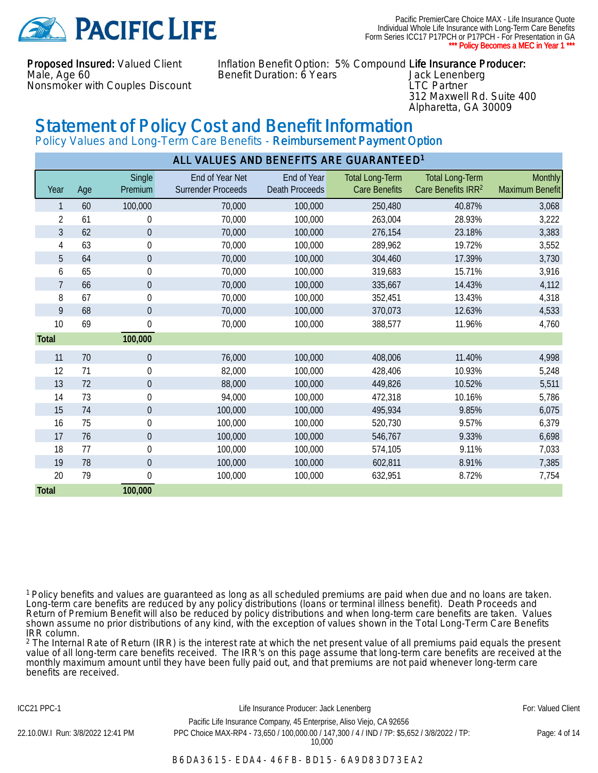

Pacific PremierCare Choice MAX - Life Insurance Quote Individual Whole Life Insurance with Long-Term Care Benefits Form Series ICC17 P17PCH or P17PCH - For Presentation in GA \* Policy Becomes a MEC in Year 1 \*

Proposed Insured: Valued Client Male, Age 60 Nonsmoker with Couples Discount

Inflation Benefit Option: 5% Compound Life Insurance Producer: Benefit Duration: 6 Years Jack Lenenberg

LTC Partner 312 Maxwell Rd. Suite 400 Alpharetta, GA 30009

### Statement of Policy Cost and Benefit Information

Policy Values and Long-Term Care Benefits - Reimbursement Payment Option

| ALL VALUES AND BENEFITS ARE GUARANTEED <sup>1</sup> |     |                   |                                              |                                      |                                                |                                                          |                            |
|-----------------------------------------------------|-----|-------------------|----------------------------------------------|--------------------------------------|------------------------------------------------|----------------------------------------------------------|----------------------------|
| Year                                                | Age | Single<br>Premium | End of Year Net<br><b>Surrender Proceeds</b> | End of Year<br><b>Death Proceeds</b> | <b>Total Long-Term</b><br><b>Care Benefits</b> | <b>Total Long-Term</b><br>Care Benefits IRR <sup>2</sup> | Monthly<br>Maximum Benefit |
|                                                     | 60  | 100,000           | 70,000                                       | 100,000                              | 250,480                                        | 40.87%                                                   | 3,068                      |
| 2                                                   | 61  | $\mathbf 0$       | 70,000                                       | 100,000                              | 263,004                                        | 28.93%                                                   | 3,222                      |
| 3                                                   | 62  | $\pmb{0}$         | 70,000                                       | 100,000                              | 276,154                                        | 23.18%                                                   | 3,383                      |
| 4                                                   | 63  | $\pmb{0}$         | 70,000                                       | 100,000                              | 289,962                                        | 19.72%                                                   | 3,552                      |
| 5                                                   | 64  | $\pmb{0}$         | 70,000                                       | 100,000                              | 304,460                                        | 17.39%                                                   | 3,730                      |
| 6                                                   | 65  | $\boldsymbol{0}$  | 70,000                                       | 100,000                              | 319,683                                        | 15.71%                                                   | 3,916                      |
| $\overline{7}$                                      | 66  | $\boldsymbol{0}$  | 70,000                                       | 100,000                              | 335,667                                        | 14.43%                                                   | 4,112                      |
| 8                                                   | 67  | $\boldsymbol{0}$  | 70,000                                       | 100,000                              | 352,451                                        | 13.43%                                                   | 4,318                      |
| 9                                                   | 68  | $\theta$          | 70,000                                       | 100,000                              | 370,073                                        | 12.63%                                                   | 4,533                      |
| 10                                                  | 69  | $\boldsymbol{0}$  | 70,000                                       | 100,000                              | 388,577                                        | 11.96%                                                   | 4,760                      |
| Total                                               |     | 100,000           |                                              |                                      |                                                |                                                          |                            |
| 11                                                  | 70  | $\overline{0}$    | 76,000                                       | 100,000                              | 408,006                                        | 11.40%                                                   | 4,998                      |
| 12                                                  | 71  | $\mathbf 0$       | 82,000                                       | 100,000                              | 428,406                                        | 10.93%                                                   | 5,248                      |
| 13                                                  | 72  | $\pmb{0}$         | 88,000                                       | 100,000                              | 449,826                                        | 10.52%                                                   | 5,511                      |
| 14                                                  | 73  | $\pmb{0}$         | 94,000                                       | 100,000                              | 472,318                                        | 10.16%                                                   | 5,786                      |
| 15                                                  | 74  | $\pmb{0}$         | 100,000                                      | 100,000                              | 495,934                                        | 9.85%                                                    | 6,075                      |
| 16                                                  | 75  | $\pmb{0}$         | 100,000                                      | 100,000                              | 520,730                                        | 9.57%                                                    | 6,379                      |
| 17                                                  | 76  | $\boldsymbol{0}$  | 100,000                                      | 100,000                              | 546,767                                        | 9.33%                                                    | 6,698                      |
| 18                                                  | 77  | $\boldsymbol{0}$  | 100,000                                      | 100,000                              | 574,105                                        | 9.11%                                                    | 7,033                      |
| 19                                                  | 78  | $\boldsymbol{0}$  | 100,000                                      | 100,000                              | 602,811                                        | 8.91%                                                    | 7,385                      |
| 20                                                  | 79  | $\boldsymbol{0}$  | 100,000                                      | 100,000                              | 632,951                                        | 8.72%                                                    | 7,754                      |
| Total                                               |     | 100,000           |                                              |                                      |                                                |                                                          |                            |

<sup>1</sup>Policy benefits and values are guaranteed as long as all scheduled premiums are paid when due and no loans are taken. Long-term care benefits are reduced by any policy distributions (loans or terminal illness benefit). Death Proceeds and Return of Premium Benefit will also be reduced by policy distributions and when long-term care benefits are taken. Values shown assume no prior distributions of any kind, with the exception of values shown in the Total Long-Term Care Benefits IRR column.

<sup>2</sup> The Internal Rate of Return (IRR) is the interest rate at which the net present value of all premiums paid equals the present value of all long-term care benefits received. The IRR's on this page assume that long-term care benefits are received at the monthly maximum amount until they have been fully paid out, and that premiums are not paid whenever long-term care benefits are received.

ICC21 PPC-1 **Example 20 For: Valued Client** Life Insurance Producer: Jack Lenenberg **Formula** For: Valued Client Pacific Life Insurance Company, 45 Enterprise, Aliso Viejo, CA 92656 22.10.0W.I Run: 3/8/2022 12:41 PM PPC Choice MAX-RP4 - 73,650 / 100,000.00 / 147,300 / 4 / IND / 7P: \$5,652 / 3/8/2022 / TP: 10,000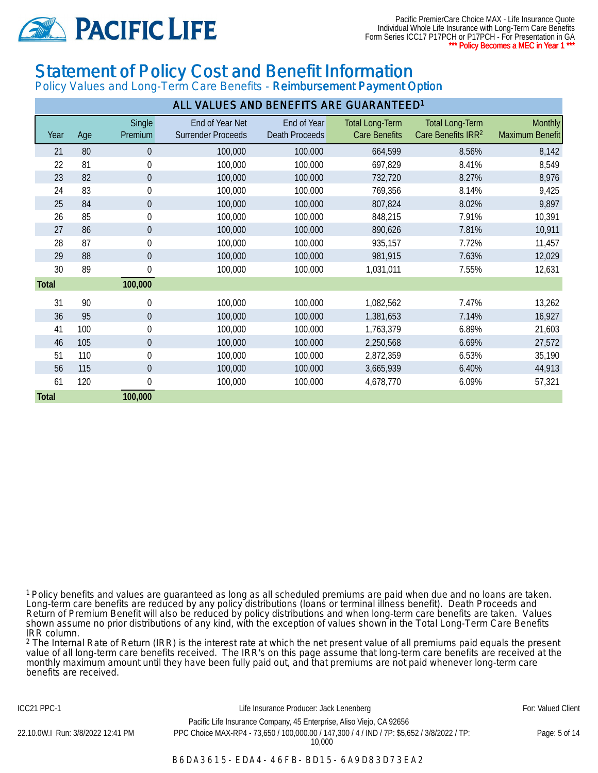

Pacific PremierCare Choice MAX - Life Insurance Quote Individual Whole Life Insurance with Long-Term Care Benefits Form Series ICC17 P17PCH or P17PCH - For Presentation in GA \* Policy Becomes a MEC in Year 1 \*

### Statement of Policy Cost and Benefit Information

Policy Values and Long-Term Care Benefits - Reimbursement Payment Option

| ALL VALUES AND BENEFITS ARE GUARANTEED <sup>1</sup> |     |                   |                                              |                                      |                                                |                                                          |                                   |
|-----------------------------------------------------|-----|-------------------|----------------------------------------------|--------------------------------------|------------------------------------------------|----------------------------------------------------------|-----------------------------------|
| Year                                                | Age | Single<br>Premium | End of Year Net<br><b>Surrender Proceeds</b> | End of Year<br><b>Death Proceeds</b> | <b>Total Long-Term</b><br><b>Care Benefits</b> | <b>Total Long-Term</b><br>Care Benefits IRR <sup>2</sup> | <b>Monthly</b><br>Maximum Benefit |
| 21                                                  | 80  | 0                 | 100,000                                      | 100,000                              | 664,599                                        | 8.56%                                                    | 8,142                             |
| 22                                                  | 81  | $\boldsymbol{0}$  | 100,000                                      | 100,000                              | 697,829                                        | 8.41%                                                    | 8,549                             |
| 23                                                  | 82  | $\pmb{0}$         | 100,000                                      | 100,000                              | 732,720                                        | 8.27%                                                    | 8,976                             |
| 24                                                  | 83  | $\boldsymbol{0}$  | 100,000                                      | 100,000                              | 769,356                                        | 8.14%                                                    | 9,425                             |
| 25                                                  | 84  | $\boldsymbol{0}$  | 100,000                                      | 100,000                              | 807,824                                        | 8.02%                                                    | 9,897                             |
| 26                                                  | 85  | $\pmb{0}$         | 100,000                                      | 100,000                              | 848,215                                        | 7.91%                                                    | 10,391                            |
| 27                                                  | 86  | $\boldsymbol{0}$  | 100,000                                      | 100,000                              | 890,626                                        | 7.81%                                                    | 10,911                            |
| 28                                                  | 87  | $\pmb{0}$         | 100,000                                      | 100,000                              | 935,157                                        | 7.72%                                                    | 11,457                            |
| 29                                                  | 88  | 0                 | 100,000                                      | 100,000                              | 981,915                                        | 7.63%                                                    | 12,029                            |
| 30                                                  | 89  | $\pmb{0}$         | 100,000                                      | 100,000                              | 1,031,011                                      | 7.55%                                                    | 12,631                            |
| Total                                               |     | 100,000           |                                              |                                      |                                                |                                                          |                                   |
| 31                                                  | 90  | $\pmb{0}$         | 100,000                                      | 100,000                              | 1,082,562                                      | 7.47%                                                    | 13,262                            |
| 36                                                  | 95  | $\boldsymbol{0}$  | 100,000                                      | 100,000                              | 1,381,653                                      | 7.14%                                                    | 16,927                            |
| 41                                                  | 100 | 0                 | 100,000                                      | 100,000                              | 1,763,379                                      | 6.89%                                                    | 21,603                            |
| 46                                                  | 105 | $\theta$          | 100,000                                      | 100,000                              | 2,250,568                                      | 6.69%                                                    | 27,572                            |
| 51                                                  | 110 | $\pmb{0}$         | 100,000                                      | 100,000                              | 2,872,359                                      | 6.53%                                                    | 35,190                            |
| 56                                                  | 115 | $\pmb{0}$         | 100,000                                      | 100,000                              | 3,665,939                                      | 6.40%                                                    | 44,913                            |
| 61                                                  | 120 | 0                 | 100,000                                      | 100,000                              | 4,678,770                                      | 6.09%                                                    | 57,321                            |
| <b>Total</b>                                        |     | 100,000           |                                              |                                      |                                                |                                                          |                                   |

<sup>1</sup>Policy benefits and values are guaranteed as long as all scheduled premiums are paid when due and no loans are taken. Long-term care benefits are reduced by any policy distributions (loans or terminal illness benefit). Death Proceeds and Return of Premium Benefit will also be reduced by policy distributions and when long-term care benefits are taken. Values shown assume no prior distributions of any kind, with the exception of values shown in the Total Long-Term Care Benefits IRR column.

<sup>2</sup> The Internal Rate of Return (IRR) is the interest rate at which the net present value of all premiums paid equals the present value of all long-term care benefits received. The IRR's on this page assume that long-term care benefits are received at the monthly maximum amount until they have been fully paid out, and that premiums are not paid whenever long-term care benefits are received.

ICC21 PPC-1 **Example 20 For: Valued Client** Life Insurance Producer: Jack Lenenberg **For: Valued Client** For: Valued Client Pacific Life Insurance Company, 45 Enterprise, Aliso Viejo, CA 92656 22.10.0W.I Run: 3/8/2022 12:41 PM PPC Choice MAX-RP4 - 73,650 / 100,000.00 / 147,300 / 4 / IND / 7P: \$5,652 / 3/8/2022 / TP: 10,000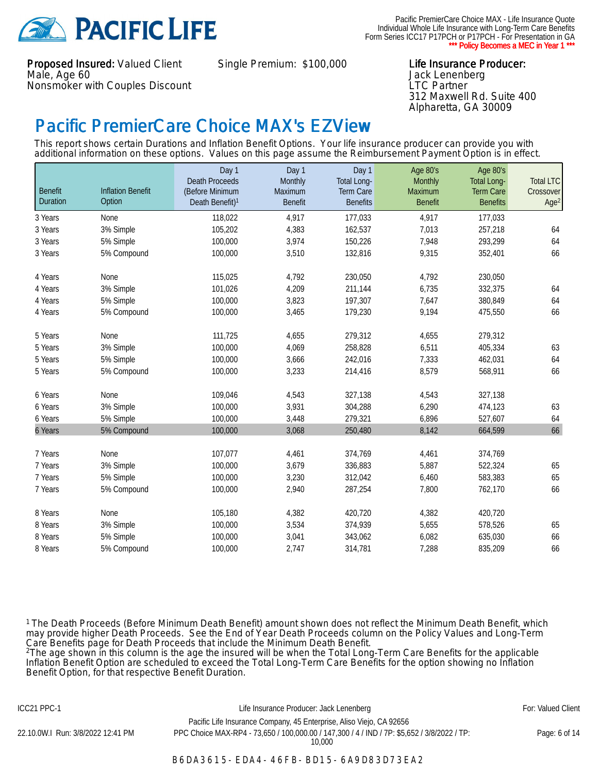

Proposed Insured: Valued Client Male, Age 60 Nonsmoker with Couples Discount

Single Premium: \$100,000 Life Insurance Producer:

Jack Lenenberg LTC Partner 312 Maxwell Rd. Suite 400 Alpharetta, GA 30009

### Pacific PremierCare Choice MAX's EZView

This report shows certain Durations and Inflation Benefit Options. Your life insurance producer can provide you with additional information on these options. Values on this page assume the Reimbursement Payment Option is in effect.

| <b>Benefit</b> | <b>Inflation Benefit</b> | Day 1<br><b>Death Proceeds</b><br>(Before Minimum | Day 1<br>Monthly<br><b>Maximum</b> | Day 1<br><b>Total Long-</b><br>Term Care | Age 80's<br><b>Monthly</b><br><b>Maximum</b> | Age 80's<br><b>Total Long-</b><br><b>Term Care</b> | <b>Total LTC</b><br>Crossover |
|----------------|--------------------------|---------------------------------------------------|------------------------------------|------------------------------------------|----------------------------------------------|----------------------------------------------------|-------------------------------|
| Duration       | Option                   | Death Benefit) <sup>1</sup>                       | <b>Benefit</b>                     | <b>Benefits</b>                          | <b>Benefit</b>                               | <b>Benefits</b>                                    | Age <sup>2</sup>              |
| 3 Years        | None                     | 118,022                                           | 4,917                              | 177,033                                  | 4,917                                        | 177,033                                            |                               |
| 3 Years        | 3% Simple                | 105,202                                           | 4,383                              | 162,537                                  | 7,013                                        | 257,218                                            | 64                            |
| 3 Years        | 5% Simple                | 100,000                                           | 3,974                              | 150,226                                  | 7,948                                        | 293,299                                            | 64                            |
| 3 Years        | 5% Compound              | 100,000                                           | 3,510                              | 132,816                                  | 9,315                                        | 352,401                                            | 66                            |
| 4 Years        | None                     | 115,025                                           | 4,792                              | 230,050                                  | 4,792                                        | 230,050                                            |                               |
| 4 Years        | 3% Simple                | 101,026                                           | 4,209                              | 211,144                                  | 6,735                                        | 332,375                                            | 64                            |
| 4 Years        | 5% Simple                | 100,000                                           | 3,823                              | 197,307                                  | 7,647                                        | 380,849                                            | 64                            |
| 4 Years        | 5% Compound              | 100,000                                           | 3,465                              | 179,230                                  | 9,194                                        | 475,550                                            | 66                            |
| 5 Years        | None                     | 111,725                                           | 4,655                              | 279,312                                  | 4,655                                        | 279,312                                            |                               |
| 5 Years        | 3% Simple                | 100,000                                           | 4,069                              | 258,828                                  | 6,511                                        | 405,334                                            | 63                            |
| 5 Years        | 5% Simple                | 100,000                                           | 3,666                              | 242,016                                  | 7,333                                        | 462,031                                            | 64                            |
| 5 Years        | 5% Compound              | 100,000                                           | 3,233                              | 214,416                                  | 8,579                                        | 568,911                                            | 66                            |
| 6 Years        | None                     | 109,046                                           | 4,543                              | 327,138                                  | 4,543                                        | 327,138                                            |                               |
| 6 Years        | 3% Simple                | 100,000                                           | 3,931                              | 304,288                                  | 6,290                                        | 474,123                                            | 63                            |
| 6 Years        | 5% Simple                | 100,000                                           | 3,448                              | 279,321                                  | 6,896                                        | 527,607                                            | 64                            |
| 6 Years        | 5% Compound              | 100,000                                           | 3,068                              | 250,480                                  | 8,142                                        | 664,599                                            | 66                            |
| 7 Years        | None                     | 107,077                                           | 4,461                              | 374,769                                  | 4,461                                        | 374,769                                            |                               |
| 7 Years        | 3% Simple                | 100,000                                           | 3,679                              | 336,883                                  | 5,887                                        | 522,324                                            | 65                            |
| 7 Years        | 5% Simple                | 100,000                                           | 3,230                              | 312,042                                  | 6,460                                        | 583,383                                            | 65                            |
| 7 Years        | 5% Compound              | 100,000                                           | 2,940                              | 287,254                                  | 7,800                                        | 762,170                                            | 66                            |
| 8 Years        | None                     | 105,180                                           | 4,382                              | 420,720                                  | 4,382                                        | 420,720                                            |                               |
| 8 Years        | 3% Simple                | 100,000                                           | 3,534                              | 374,939                                  | 5,655                                        | 578,526                                            | 65                            |
| 8 Years        | 5% Simple                | 100,000                                           | 3,041                              | 343,062                                  | 6,082                                        | 635,030                                            | 66                            |
| 8 Years        | 5% Compound              | 100,000                                           | 2,747                              | 314,781                                  | 7,288                                        | 835,209                                            | 66                            |

<sup>1</sup>The Death Proceeds (Before Minimum Death Benefit) amount shown does not reflect the Minimum Death Benefit, which may provide higher Death Proceeds. See the End of Year Death Proceeds column on the Policy Values and Long-Term Care Benefits page for Death Proceeds that include the Minimum Death Benefit.

<sup>2</sup>The age shown in this column is the age the insured will be when the Total Long-Term Care Benefits for the applicable Inflation Benefit Option are scheduled to exceed the Total Long-Term Care Benefits for the option showing no Inflation Benefit Option, for that respective Benefit Duration.

#### ICC21 PPC-1 **Example 20 For: Valued Client** Life Insurance Producer: Jack Lenenberg **For: Valued Client** For: Valued Client

Pacific Life Insurance Company, 45 Enterprise, Aliso Viejo, CA 92656 22.10.0W.I Run: 3/8/2022 12:41 PM PPC Choice MAX-RP4 - 73,650 / 100,000.00 / 147,300 / 4 / IND / 7P: \$5,652 / 3/8/2022 / TP: 10,000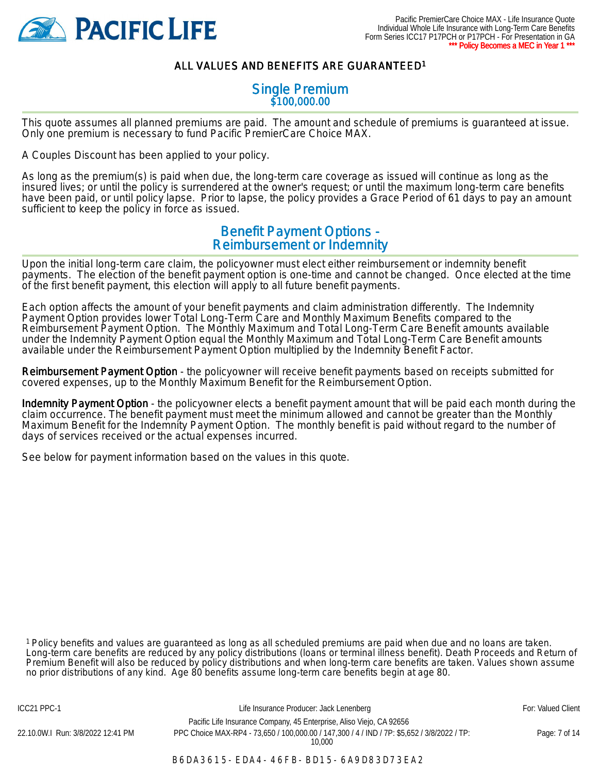

#### ALL VALUES AND BENEFITS ARE GUARANTEED<sup>1</sup>

#### Single Premium \$100,000.00

This quote assumes all planned premiums are paid. The amount and schedule of premiums is guaranteed at issue. Only one premium is necessary to fund Pacific PremierCare Choice MAX.

A Couples Discount has been applied to your policy.

As long as the premium(s) is paid when due, the long-term care coverage as issued will continue as long as the insured lives; or until the policy is surrendered at the owner's request; or until the maximum long-term care benefits have been paid, or until policy lapse. Prior to lapse, the policy provides a Grace Period of 61 days to pay an amount sufficient to keep the policy in force as issued.

#### Benefit Payment Options - Reimbursement or Indemnity

Upon the initial long-term care claim, the policyowner must elect either reimbursement or indemnity benefit payments. The election of the benefit payment option is one-time and cannot be changed. Once elected at the time of the first benefit payment, this election will apply to all future benefit payments.

Each option affects the amount of your benefit payments and claim administration differently. The Indemnity Payment Option provides lower Total Long-Term Care and Monthly Maximum Benefits compared to the Reimbursement Payment Option. The Monthly Maximum and Total Long-Term Care Benefit amounts available under the Indemnity Payment Option equal the Monthly Maximum and Total Long-Term Care Benefit amounts available under the Reimbursement Payment Option multiplied by the Indemnity Benefit Factor.

Reimbursement Payment Option - the policyowner will receive benefit payments based on receipts submitted for covered expenses, up to the Monthly Maximum Benefit for the Reimbursement Option.

Indemnity Payment Option - the policyowner elects a benefit payment amount that will be paid each month during the claim occurrence. The benefit payment must meet the minimum allowed and cannot be greater than the Monthly Maximum Benefit for the Indemnity Payment Option. The monthly benefit is paid without regard to the number of days of services received or the actual expenses incurred.

See below for payment information based on the values in this quote.

<sup>1</sup>Policy benefits and values are guaranteed as long as all scheduled premiums are paid when due and no loans are taken. Long-term care benefits are reduced by any policy distributions (loans or terminal illness benefit). Death Proceeds and Return of Premium Benefit will also be reduced by policy distributions and when long-term care benefits are taken. Values shown assume no prior distributions of any kind. Age 80 benefits assume long-term care benefits begin at age 80.

B6DA3615-EDA4-46FB-BD15-6A9D83D73EA2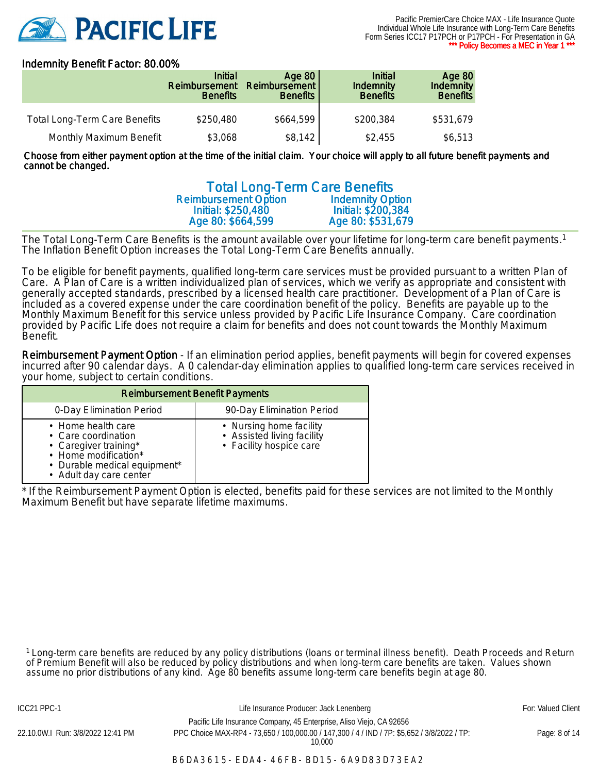

#### Indemnity Benefit Factor: 80.00%

|                                      | <b>Initial</b><br>Reimbursement<br><b>Benefits</b> | Age 80<br>Reimbursement<br><b>Benefits</b> | <b>Initial</b><br><b>Indemnity</b><br><b>Benefits</b> | <b>Age 80</b><br><b>Indemnity</b><br><b>Benefits</b> |
|--------------------------------------|----------------------------------------------------|--------------------------------------------|-------------------------------------------------------|------------------------------------------------------|
| <b>Total Long-Term Care Benefits</b> | \$250,480                                          | \$664,599                                  | \$200,384                                             | \$531,679                                            |
| Monthly Maximum Benefit              | \$3,068                                            | \$8,142                                    | \$2,455                                               | \$6,513                                              |

Choose from either payment option at the time of the initial claim. Your choice will apply to all future benefit payments and cannot be changed.

|                                                        | <b>Total Long-Term Care Benefits</b> |
|--------------------------------------------------------|--------------------------------------|
| <b>Reimbursement Option</b><br><b>Indemnity Option</b> |                                      |
| Initial: \$200,384<br>Initial: \$250,480               |                                      |
| Age 80: \$664,599<br>Age 80: \$531,679                 |                                      |

The Total Long-Term Care Benefits is the amount available over your lifetime for long-term care benefit payments.<sup>1</sup> The Inflation Benefit Option increases the Total Long-Term Care Benefits annually.

To be eligible for benefit payments, qualified long-term care services must be provided pursuant to a written Plan of Care. A Plan of Care is a written individualized plan of services, which we verify as appropriate and consistent with generally accepted standards, prescribed by a licensed health care practitioner. Development of a Plan of Care is included as a covered expense under the care coordination benefit of the policy. Benefits are payable up to the Monthly Maximum Benefit for this service unless provided by Pacific Life Insurance Company. Care coordination provided by Pacific Life does not require a claim for benefits and does not count towards the Monthly Maximum Benefit.

Reimbursement Payment Option - If an elimination period applies, benefit payments will begin for covered expenses incurred after 90 calendar days. A 0 calendar-day elimination applies to qualified long-term care services received in your home, subject to certain conditions.

| <b>Reimbursement Benefit Payments</b>                                                                                                                 |                                                                                  |  |  |  |
|-------------------------------------------------------------------------------------------------------------------------------------------------------|----------------------------------------------------------------------------------|--|--|--|
| 0-Day Elimination Period                                                                                                                              | 90-Day Elimination Period                                                        |  |  |  |
| • Home health care<br>• Care coordination<br>• Caregiver training*<br>• Home modification*<br>• Durable medical equipment*<br>• Adult day care center | • Nursing home facility<br>• Assisted living facility<br>· Facility hospice care |  |  |  |

\* If the Reimbursement Payment Option is elected, benefits paid for these services are not limited to the Monthly Maximum Benefit but have separate lifetime maximums.

<sup>1</sup>Long-term care benefits are reduced by any policy distributions (loans or terminal illness benefit). Death Proceeds and Return of Premium Benefit will also be reduced by policy distributions and when long-term care benefits are taken. Values shown assume no prior distributions of any kind. Age 80 benefits assume long-term care benefits begin at age 80.

ICC21 PPC-1 **Example 20 For: Valued Client** Life Insurance Producer: Jack Lenenberg **Formula Client** For: Valued Client Pacific Life Insurance Company, 45 Enterprise, Aliso Viejo, CA 92656 22.10.0W.I Run: 3/8/2022 12:41 PM PPC Choice MAX-RP4 - 73,650 / 100,000.00 / 147,300 / 4 / IND / 7P: \$5,652 / 3/8/2022 / TP:

10,000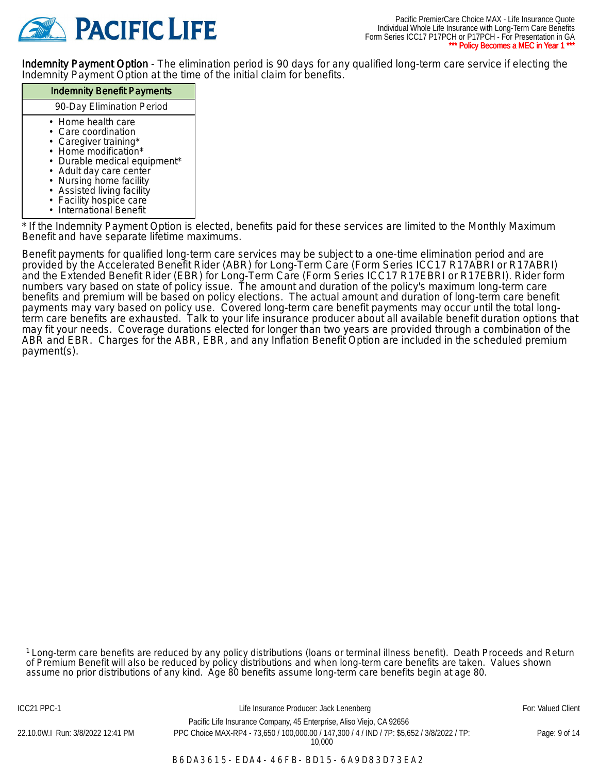

Indemnity Payment Option - The elimination period is 90 days for any qualified long-term care service if electing the Indemnity Payment Option at the time of the initial claim for benefits.

#### Indemnity Benefit Payments 90-Day Elimination Period • Home health care • Care coordination • Caregiver training\* • Home modification\* • Durable medical equipment\* • Adult day care center • Nursing home facility • Assisted living facility • Facility hospice care • International Benefit

\* If the Indemnity Payment Option is elected, benefits paid for these services are limited to the Monthly Maximum Benefit and have separate lifetime maximums.

Benefit payments for qualified long-term care services may be subject to a one-time elimination period and are provided by the Accelerated Benefit Rider (ABR) for Long-Term Care (Form Series ICC17 R17ABRI or R17ABRI) and the Extended Benefit Rider (EBR) for Long-Term Care (Form Series ICC17 R17EBRI or R17EBRI). Rider form numbers vary based on state of policy issue. The amount and duration of the policy's maximum long-term care benefits and premium will be based on policy elections. The actual amount and duration of long-term care benefit payments may vary based on policy use. Covered long-term care benefit payments may occur until the total longterm care benefits are exhausted. Talk to your life insurance producer about all available benefit duration options that may fit your needs. Coverage durations elected for longer than two years are provided through a combination of the ABR and EBR. Charges for the ABR, EBR, and any Inflation Benefit Option are included in the scheduled premium payment(s).

<sup>1</sup>Long-term care benefits are reduced by any policy distributions (loans or terminal illness benefit). Death Proceeds and Return of Premium Benefit will also be reduced by policy distributions and when long-term care benefits are taken. Values shown assume no prior distributions of any kind. Age 80 benefits assume long-term care benefits begin at age 80.

Pacific Life Insurance Company, 45 Enterprise, Aliso Viejo, CA 92656 22.10.0W.I Run: 3/8/2022 12:41 PM PPC Choice MAX-RP4 - 73,650 / 100,000.00 / 147,300 / 4 / IND / 7P: \$5,652 / 3/8/2022 / TP: 10,000

ICC21 PPC-1 **Example 20 For: Valued Client** Life Insurance Producer: Jack Lenenberg **Formula** For: Valued Client

Page: 9 of 14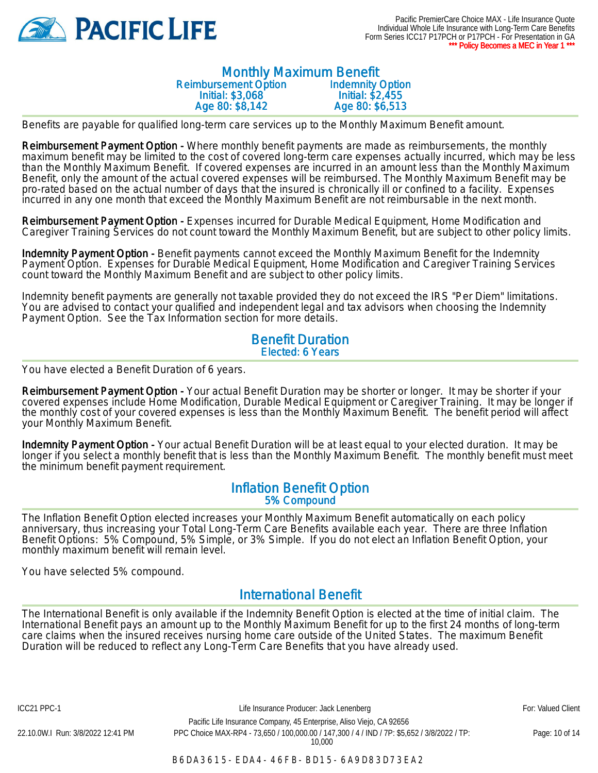

#### Monthly Maximum Benefit Reimbursement Option Initial: \$3,068 Age 80: \$8,142 Indemnity Option Initial: \$2,455 Age 80: \$6,513

Benefits are payable for qualified long-term care services up to the Monthly Maximum Benefit amount.

Reimbursement Payment Option - Where monthly benefit payments are made as reimbursements, the monthly maximum benefit may be limited to the cost of covered long-term care expenses actually incurred, which may be less than the Monthly Maximum Benefit. If covered expenses are incurred in an amount less than the Monthly Maximum Benefit, only the amount of the actual covered expenses will be reimbursed. The Monthly Maximum Benefit may be pro-rated based on the actual number of days that the insured is chronically ill or confined to a facility. Expenses incurred in any one month that exceed the Monthly Maximum Benefit are not reimbursable in the next month.

Reimbursement Payment Option - Expenses incurred for Durable Medical Equipment, Home Modification and Caregiver Training Services do not count toward the Monthly Maximum Benefit, but are subject to other policy limits.

Indemnity Payment Option - Benefit payments cannot exceed the Monthly Maximum Benefit for the Indemnity Payment Option. Expenses for Durable Medical Equipment, Home Modification and Caregiver Training Services count toward the Monthly Maximum Benefit and are subject to other policy limits.

Indemnity benefit payments are generally not taxable provided they do not exceed the IRS "Per Diem" limitations. You are advised to contact your qualified and independent legal and tax advisors when choosing the Indemnity Payment Option. See the Tax Information section for more details.

#### Benefit Duration Elected: 6 Years

You have elected a Benefit Duration of 6 years.

Reimbursement Payment Option - Your actual Benefit Duration may be shorter or longer. It may be shorter if your covered expenses include Home Modification, Durable Medical Equipment or Caregiver Training. It may be longer if the monthly cost of your covered expenses is less than the Monthly Maximum Benefit. The benefit period will affect your Monthly Maximum Benefit.

Indemnity Payment Option - Your actual Benefit Duration will be at least equal to your elected duration. It may be longer if you select a monthly benefit that is less than the Monthly Maximum Benefit. The monthly benefit must meet the minimum benefit payment requirement.

#### Inflation Benefit Option 5% Compound

The Inflation Benefit Option elected increases your Monthly Maximum Benefit automatically on each policy anniversary, thus increasing your Total Long-Term Care Benefits available each year. There are three Inflation Benefit Options: 5% Compound, 5% Simple, or 3% Simple. If you do not elect an Inflation Benefit Option, your monthly maximum benefit will remain level.

You have selected 5% compound.

#### International Benefit

The International Benefit is only available if the Indemnity Benefit Option is elected at the time of initial claim. The International Benefit pays an amount up to the Monthly Maximum Benefit for up to the first 24 months of long-term care claims when the insured receives nursing home care outside of the United States. The maximum Benefit Duration will be reduced to reflect any Long-Term Care Benefits that you have already used.

ICC21 PPC-1 **Example 20 For: Valued Client** Life Insurance Producer: Jack Lenenberg **Formula** For: Valued Client Pacific Life Insurance Company, 45 Enterprise, Aliso Viejo, CA 92656 22.10.0W.I Run: 3/8/2022 12:41 PM PPC Choice MAX-RP4 - 73,650 / 100,000.00 / 147,300 / 4 / IND / 7P: \$5,652 / 3/8/2022 / TP: 10,000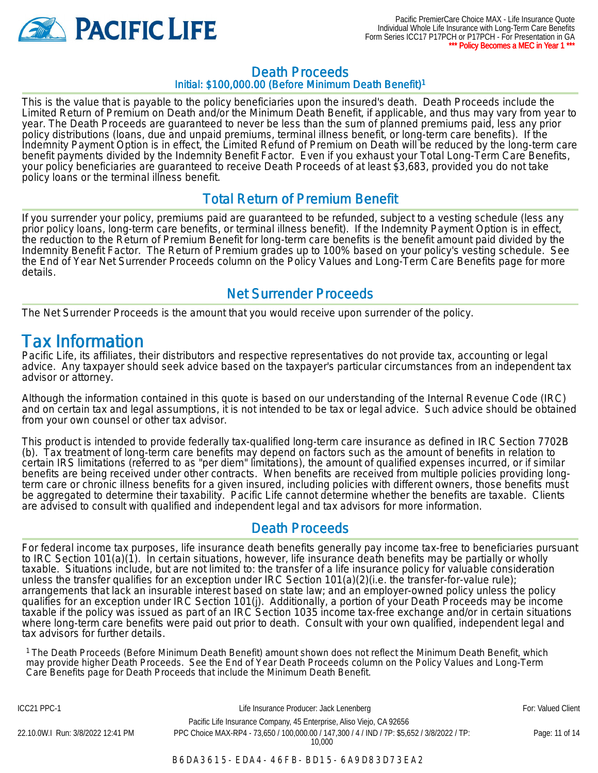

#### Death Proceeds Initial: \$100,000.00 (Before Minimum Death Benefit)<sup>1</sup>

This is the value that is payable to the policy beneficiaries upon the insured's death. Death Proceeds include the Limited Return of Premium on Death and/or the Minimum Death Benefit, if applicable, and thus may vary from year to year. The Death Proceeds are guaranteed to never be less than the sum of planned premiums paid, less any prior policy distributions (loans, due and unpaid premiums, terminal illness benefit, or long-term care benefits). If the Indemnity Payment Option is in effect, the Limited Refund of Premium on Death will be reduced by the long-term care benefit payments divided by the Indemnity Benefit Factor. Even if you exhaust your Total Long-Term Care Benefits, your policy beneficiaries are guaranteed to receive Death Proceeds of at least \$3,683, provided you do not take policy loans or the terminal illness benefit.

#### Total Return of Premium Benefit

If you surrender your policy, premiums paid are guaranteed to be refunded, subject to a vesting schedule (less any prior policy loans, long-term care benefits, or terminal illness benefit). If the Indemnity Payment Option is in effect, the reduction to the Return of Premium Benefit for long-term care benefits is the benefit amount paid divided by the Indemnity Benefit Factor. The Return of Premium grades up to 100% based on your policy's vesting schedule. See the End of Year Net Surrender Proceeds column on the Policy Values and Long-Term Care Benefits page for more details.

#### Net Surrender Proceeds

The Net Surrender Proceeds is the amount that you would receive upon surrender of the policy.

### Tax Information

Pacific Life, its affiliates, their distributors and respective representatives do not provide tax, accounting or legal advice. Any taxpayer should seek advice based on the taxpayer's particular circumstances from an independent tax advisor or attorney.

Although the information contained in this quote is based on our understanding of the Internal Revenue Code (IRC) and on certain tax and legal assumptions, it is not intended to be tax or legal advice. Such advice should be obtained from your own counsel or other tax advisor.

This product is intended to provide federally tax-qualified long-term care insurance as defined in IRC Section 7702B (b). Tax treatment of long-term care benefits may depend on factors such as the amount of benefits in relation to certain IRS limitations (referred to as "per diem" limitations), the amount of qualified expenses incurred, or if similar benefits are being received under other contracts. When benefits are received from multiple policies providing longterm care or chronic illness benefits for a given insured, including policies with different owners, those benefits must be aggregated to determine their taxability. Pacific Life cannot determine whether the benefits are taxable. Clients are advised to consult with qualified and independent legal and tax advisors for more information.

#### Death Proceeds

For federal income tax purposes, life insurance death benefits generally pay income tax-free to beneficiaries pursuant to IRC Section 101(a)(1). In certain situations, however, life insurance death benefits may be partially or wholly taxable. Situations include, but are not limited to: the transfer of a life insurance policy for valuable consideration unless the transfer qualifies for an exception under IRC Section 101(a)(2)(i.e. the transfer-for-value rule); arrangements that lack an insurable interest based on state law; and an employer-owned policy unless the policy qualifies for an exception under IRC Section 101(j). Additionally, a portion of your Death Proceeds may be income taxable if the policy was issued as part of an IRC Section 1035 income tax-free exchange and/or in certain situations where long-term care benefits were paid out prior to death. Consult with your own qualified, independent legal and tax advisors for further details.

<sup>1</sup>The Death Proceeds (Before Minimum Death Benefit) amount shown does not reflect the Minimum Death Benefit, which may provide higher Death Proceeds. See the End of Year Death Proceeds column on the Policy Values and Long-Term Care Benefits page for Death Proceeds that include the Minimum Death Benefit.

ICC21 PPC-1 **Example 20 For: Valued Client** Life Insurance Producer: Jack Lenenberg **Formula** For: Valued Client Pacific Life Insurance Company, 45 Enterprise, Aliso Viejo, CA 92656 22.10.0W.I Run: 3/8/2022 12:41 PM PPC Choice MAX-RP4 - 73,650 / 100,000.00 / 147,300 / 4 / IND / 7P: \$5,652 / 3/8/2022 / TP: 10,000

Page: 11 of 14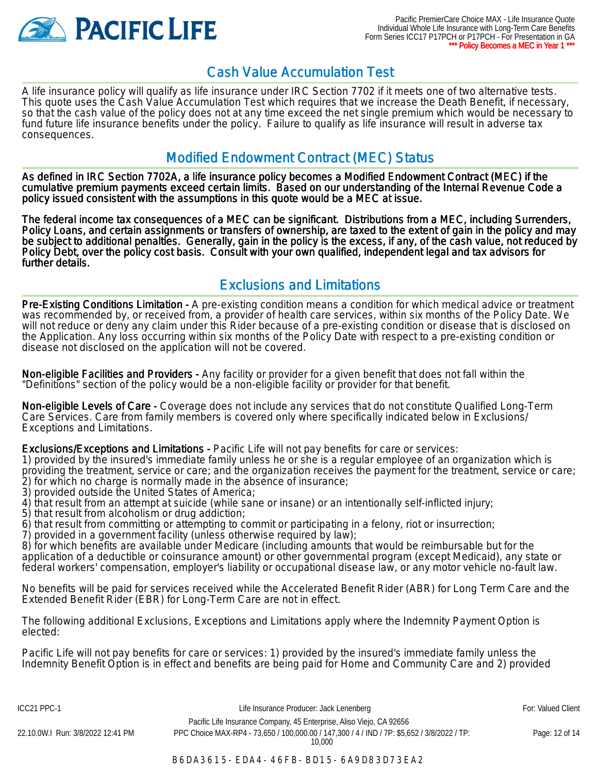

### Cash Value Accumulation Test

A life insurance policy will qualify as life insurance under IRC Section 7702 if it meets one of two alternative tests. This quote uses the Cash Value Accumulation Test which requires that we increase the Death Benefit, if necessary, so that the cash value of the policy does not at any time exceed the net single premium which would be necessary to fund future life insurance benefits under the policy. Failure to qualify as life insurance will result in adverse tax consequences.

#### Modified Endowment Contract (MEC) Status

As defined in IRC Section 7702A, a life insurance policy becomes a Modified Endowment Contract (MEC) if the cumulative premium payments exceed certain limits. Based on our understanding of the Internal Revenue Code a policy issued consistent with the assumptions in this quote would be a MEC at issue.

The federal income tax consequences of a MEC can be significant. Distributions from a MEC, including Surrenders, Policy Loans, and certain assignments or transfers of ownership, are taxed to the extent of gain in the policy and may be subject to additional penalties. Generally, gain in the policy is the excess, if any, of the cash value, not reduced by Policy Debt, over the policy cost basis. Consult with your own qualified, independent legal and tax advisors for further details.

### Exclusions and Limitations

Pre-Existing Conditions Limitation - A pre-existing condition means a condition for which medical advice or treatment was recommended by, or received from, a provider of health care services, within six months of the Policy Date. We will not reduce or deny any claim under this Rider because of a pre-existing condition or disease that is disclosed on the Application. Any loss occurring within six months of the Policy Date with respect to a pre-existing condition or disease not disclosed on the application will not be covered.

Non-eligible Facilities and Providers - Any facility or provider for a given benefit that does not fall within the "Definitions" section of the policy would be a non-eligible facility or provider for that benefit.

Non-eligible Levels of Care - Coverage does not include any services that do not constitute Qualified Long-Term Care Services. Care from family members is covered only where specifically indicated below in Exclusions/ Exceptions and Limitations.

Exclusions/Exceptions and Limitations - Pacific Life will not pay benefits for care or services:

1) provided by the insured's immediate family unless he or she is a regular employee of an organization which is providing the treatment, service or care; and the organization receives the payment for the treatment, service or care; 2) for which no charge is normally made in the absence of insurance;

3) provided outside the United States of America;

4) that result from an attempt at suicide (while sane or insane) or an intentionally self-inflicted injury;

5) that result from alcoholism or drug addiction;

6) that result from committing or attempting to commit or participating in a felony, riot or insurrection;

7) provided in a government facility (unless otherwise required by law);

8) for which benefits are available under Medicare (including amounts that would be reimbursable but for the application of a deductible or coinsurance amount) or other governmental program (except Medicaid), any state or federal workers' compensation, employer's liability or occupational disease law, or any motor vehicle no-fault law.

No benefits will be paid for services received while the Accelerated Benefit Rider (ABR) for Long Term Care and the Extended Benefit Rider (EBR) for Long-Term Care are not in effect.

The following additional Exclusions, Exceptions and Limitations apply where the Indemnity Payment Option is elected:

Pacific Life will not pay benefits for care or services: 1) provided by the insured's immediate family unless the Indemnity Benefit Option is in effect and benefits are being paid for Home and Community Care and 2) provided

ICC21 PPC-1 **Example 20 For: Valued Client** Life Insurance Producer: Jack Lenenberg **Formula** For: Valued Client Pacific Life Insurance Company, 45 Enterprise, Aliso Viejo, CA 92656 22.10.0W.I Run: 3/8/2022 12:41 PM PPC Choice MAX-RP4 - 73,650 / 100,000.00 / 147,300 / 4 / IND / 7P: \$5,652 / 3/8/2022 / TP:

10,000